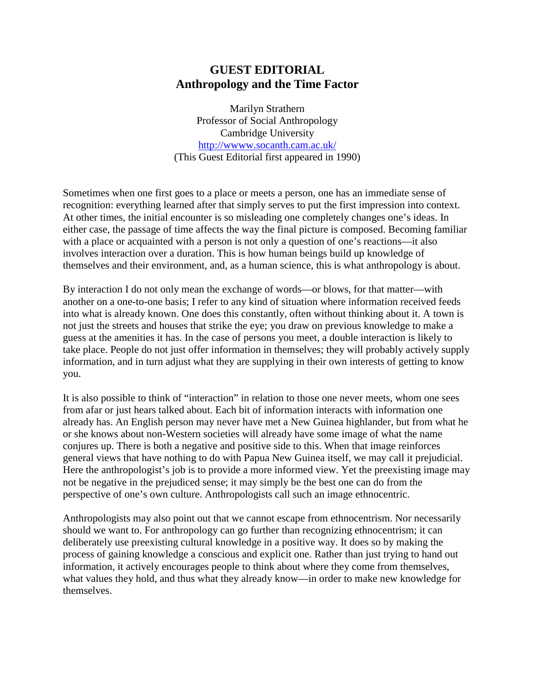## **GUEST EDITORIAL Anthropology and the Time Factor**

Marilyn Strathern Professor of Social Anthropology Cambridge University <http://wwww.socanth.cam.ac.uk/> (This Guest Editorial first appeared in 1990)

Sometimes when one first goes to a place or meets a person, one has an immediate sense of recognition: everything learned after that simply serves to put the first impression into context. At other times, the initial encounter is so misleading one completely changes one's ideas. In either case, the passage of time affects the way the final picture is composed. Becoming familiar with a place or acquainted with a person is not only a question of one's reactions—it also involves interaction over a duration. This is how human beings build up knowledge of themselves and their environment, and, as a human science, this is what anthropology is about.

By interaction I do not only mean the exchange of words—or blows, for that matter—with another on a one-to-one basis; I refer to any kind of situation where information received feeds into what is already known. One does this constantly, often without thinking about it. A town is not just the streets and houses that strike the eye; you draw on previous knowledge to make a guess at the amenities it has. In the case of persons you meet, a double interaction is likely to take place. People do not just offer information in themselves; they will probably actively supply information, and in turn adjust what they are supplying in their own interests of getting to know you.

It is also possible to think of "interaction" in relation to those one never meets, whom one sees from afar or just hears talked about. Each bit of information interacts with information one already has. An English person may never have met a New Guinea highlander, but from what he or she knows about non-Western societies will already have some image of what the name conjures up. There is both a negative and positive side to this. When that image reinforces general views that have nothing to do with Papua New Guinea itself, we may call it prejudicial. Here the anthropologist's job is to provide a more informed view. Yet the preexisting image may not be negative in the prejudiced sense; it may simply be the best one can do from the perspective of one's own culture. Anthropologists call such an image ethnocentric.

Anthropologists may also point out that we cannot escape from ethnocentrism. Nor necessarily should we want to. For anthropology can go further than recognizing ethnocentrism; it can deliberately use preexisting cultural knowledge in a positive way. It does so by making the process of gaining knowledge a conscious and explicit one. Rather than just trying to hand out information, it actively encourages people to think about where they come from themselves, what values they hold, and thus what they already know—in order to make new knowledge for themselves.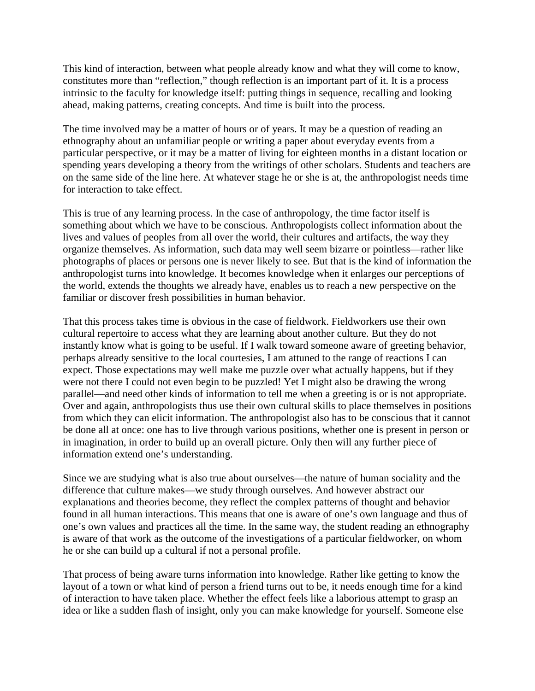This kind of interaction, between what people already know and what they will come to know, constitutes more than "reflection," though reflection is an important part of it. It is a process intrinsic to the faculty for knowledge itself: putting things in sequence, recalling and looking ahead, making patterns, creating concepts. And time is built into the process.

The time involved may be a matter of hours or of years. It may be a question of reading an ethnography about an unfamiliar people or writing a paper about everyday events from a particular perspective, or it may be a matter of living for eighteen months in a distant location or spending years developing a theory from the writings of other scholars. Students and teachers are on the same side of the line here. At whatever stage he or she is at, the anthropologist needs time for interaction to take effect.

This is true of any learning process. In the case of anthropology, the time factor itself is something about which we have to be conscious. Anthropologists collect information about the lives and values of peoples from all over the world, their cultures and artifacts, the way they organize themselves. As information, such data may well seem bizarre or pointless—rather like photographs of places or persons one is never likely to see. But that is the kind of information the anthropologist turns into knowledge. It becomes knowledge when it enlarges our perceptions of the world, extends the thoughts we already have, enables us to reach a new perspective on the familiar or discover fresh possibilities in human behavior.

That this process takes time is obvious in the case of fieldwork. Fieldworkers use their own cultural repertoire to access what they are learning about another culture. But they do not instantly know what is going to be useful. If I walk toward someone aware of greeting behavior, perhaps already sensitive to the local courtesies, I am attuned to the range of reactions I can expect. Those expectations may well make me puzzle over what actually happens, but if they were not there I could not even begin to be puzzled! Yet I might also be drawing the wrong parallel—and need other kinds of information to tell me when a greeting is or is not appropriate. Over and again, anthropologists thus use their own cultural skills to place themselves in positions from which they can elicit information. The anthropologist also has to be conscious that it cannot be done all at once: one has to live through various positions, whether one is present in person or in imagination, in order to build up an overall picture. Only then will any further piece of information extend one's understanding.

Since we are studying what is also true about ourselves—the nature of human sociality and the difference that culture makes—we study through ourselves. And however abstract our explanations and theories become, they reflect the complex patterns of thought and behavior found in all human interactions. This means that one is aware of one's own language and thus of one's own values and practices all the time. In the same way, the student reading an ethnography is aware of that work as the outcome of the investigations of a particular fieldworker, on whom he or she can build up a cultural if not a personal profile.

That process of being aware turns information into knowledge. Rather like getting to know the layout of a town or what kind of person a friend turns out to be, it needs enough time for a kind of interaction to have taken place. Whether the effect feels like a laborious attempt to grasp an idea or like a sudden flash of insight, only you can make knowledge for yourself. Someone else